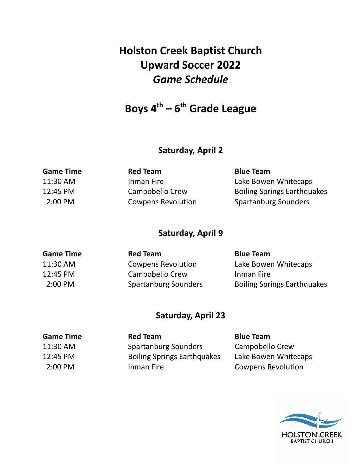# **Holston Creek Baptist Church Upward Soccer 2022** *Game Schedule*

# **Boys 4 th – 6 th Grade League**

# **Saturday, April 2**

| <b>Game Time</b>    | <b>Red Team</b>           | <b>Blue Team</b>                   |
|---------------------|---------------------------|------------------------------------|
| 11:30 AM            | Inman Fire                | Lake Bowen Whitecaps               |
| 12:45 PM            | Campobello Crew           | <b>Boiling Springs Earthquakes</b> |
| $2:00 \, \text{PM}$ | <b>Cowpens Revolution</b> | <b>Spartanburg Sounders</b>        |
|                     |                           |                                    |

# **Saturday, April 9**

| <b>Game Time</b>    | <b>Red Team</b>             | <b>Blue Team</b>                   |
|---------------------|-----------------------------|------------------------------------|
| 11:30 AM            | <b>Cowpens Revolution</b>   | Lake Bowen Whitecaps               |
| 12:45 PM            | Campobello Crew             | Inman Fire                         |
| $2:00 \, \text{PM}$ | <b>Spartanburg Sounders</b> | <b>Boiling Springs Earthquakes</b> |

## **Saturday, April 23**

| <b>Red Team</b>                    | <b>Blue Team</b>          |
|------------------------------------|---------------------------|
| <b>Spartanburg Sounders</b>        | Campobello Crew           |
| <b>Boiling Springs Earthquakes</b> | Lake Bowen Whitecaps      |
| Inman Fire                         | <b>Cowpens Revolution</b> |
|                                    |                           |